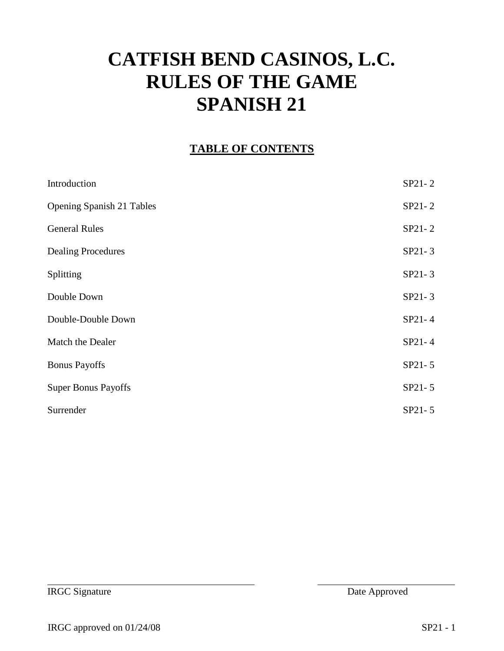# **CATFISH BEND CASINOS, L.C. RULES OF THE GAME SPANISH 21**

#### **TABLE OF CONTENTS**

| Introduction                     | SP21-2 |
|----------------------------------|--------|
| <b>Opening Spanish 21 Tables</b> | SP21-2 |
| <b>General Rules</b>             | SP21-2 |
| <b>Dealing Procedures</b>        | SP21-3 |
| Splitting                        | SP21-3 |
| Double Down                      | SP21-3 |
| Double-Double Down               | SP21-4 |
| Match the Dealer                 | SP21-4 |
| <b>Bonus Payoffs</b>             | SP21-5 |
| <b>Super Bonus Payoffs</b>       | SP21-5 |
| Surrender                        | SP21-5 |
|                                  |        |

**IRGC Signature** Date Approved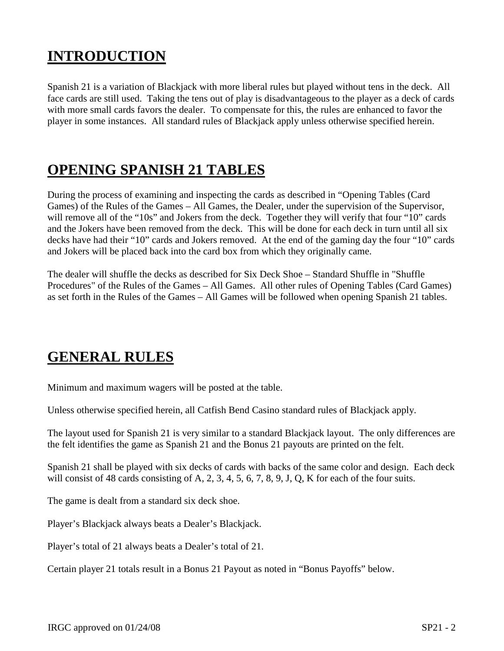#### **INTRODUCTION**

Spanish 21 is a variation of Blackjack with more liberal rules but played without tens in the deck. All face cards are still used. Taking the tens out of play is disadvantageous to the player as a deck of cards with more small cards favors the dealer. To compensate for this, the rules are enhanced to favor the player in some instances. All standard rules of Blackjack apply unless otherwise specified herein.

#### **OPENING SPANISH 21 TABLES**

During the process of examining and inspecting the cards as described in "Opening Tables (Card Games) of the Rules of the Games – All Games, the Dealer, under the supervision of the Supervisor, will remove all of the "10s" and Jokers from the deck. Together they will verify that four "10" cards and the Jokers have been removed from the deck. This will be done for each deck in turn until all six decks have had their "10" cards and Jokers removed. At the end of the gaming day the four "10" cards and Jokers will be placed back into the card box from which they originally came.

The dealer will shuffle the decks as described for Six Deck Shoe – Standard Shuffle in "Shuffle Procedures" of the Rules of the Games – All Games. All other rules of Opening Tables (Card Games) as set forth in the Rules of the Games – All Games will be followed when opening Spanish 21 tables.

#### **GENERAL RULES**

Minimum and maximum wagers will be posted at the table.

Unless otherwise specified herein, all Catfish Bend Casino standard rules of Blackjack apply.

The layout used for Spanish 21 is very similar to a standard Blackjack layout. The only differences are the felt identifies the game as Spanish 21 and the Bonus 21 payouts are printed on the felt.

Spanish 21 shall be played with six decks of cards with backs of the same color and design. Each deck will consist of 48 cards consisting of A, 2, 3, 4, 5, 6, 7, 8, 9, J, Q, K for each of the four suits.

The game is dealt from a standard six deck shoe.

Player's Blackjack always beats a Dealer's Blackjack.

Player's total of 21 always beats a Dealer's total of 21.

Certain player 21 totals result in a Bonus 21 Payout as noted in "Bonus Payoffs" below.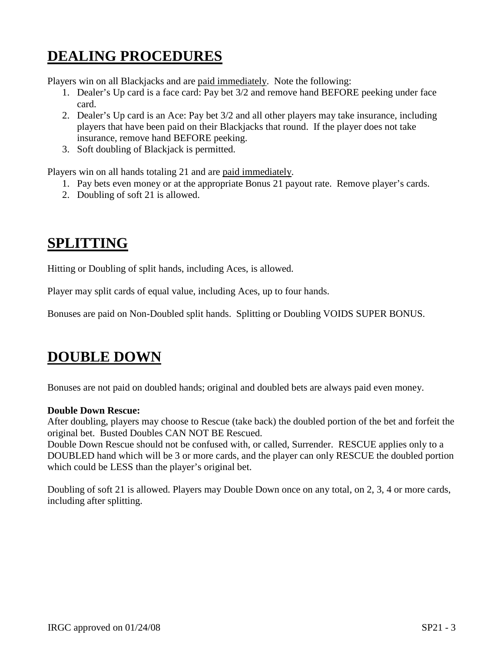## **DEALING PROCEDURES**

Players win on all Blackjacks and are paid immediately. Note the following:

- 1. Dealer's Up card is a face card: Pay bet 3/2 and remove hand BEFORE peeking under face card.
- 2. Dealer's Up card is an Ace: Pay bet 3/2 and all other players may take insurance, including players that have been paid on their Blackjacks that round. If the player does not take insurance, remove hand BEFORE peeking.
- 3. Soft doubling of Blackjack is permitted.

Players win on all hands totaling 21 and are paid immediately.

- 1. Pay bets even money or at the appropriate Bonus 21 payout rate. Remove player's cards.
- 2. Doubling of soft 21 is allowed.

#### **SPLITTING**

Hitting or Doubling of split hands, including Aces, is allowed.

Player may split cards of equal value, including Aces, up to four hands.

Bonuses are paid on Non-Doubled split hands. Splitting or Doubling VOIDS SUPER BONUS.

#### **DOUBLE DOWN**

Bonuses are not paid on doubled hands; original and doubled bets are always paid even money.

#### **Double Down Rescue:**

After doubling, players may choose to Rescue (take back) the doubled portion of the bet and forfeit the original bet. Busted Doubles CAN NOT BE Rescued.

Double Down Rescue should not be confused with, or called, Surrender. RESCUE applies only to a DOUBLED hand which will be 3 or more cards, and the player can only RESCUE the doubled portion which could be LESS than the player's original bet.

Doubling of soft 21 is allowed. Players may Double Down once on any total, on 2, 3, 4 or more cards, including after splitting.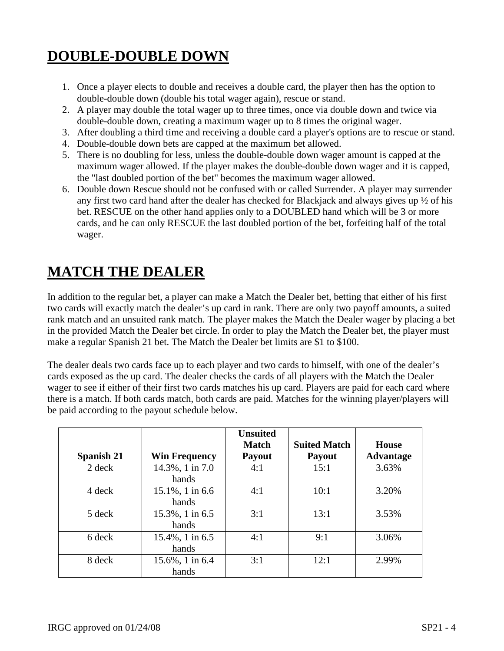## **DOUBLE-DOUBLE DOWN**

- 1. Once a player elects to double and receives a double card, the player then has the option to double-double down (double his total wager again), rescue or stand.
- 2. A player may double the total wager up to three times, once via double down and twice via double-double down, creating a maximum wager up to 8 times the original wager.
- 3. After doubling a third time and receiving a double card a player's options are to rescue or stand.
- 4. Double-double down bets are capped at the maximum bet allowed.
- 5. There is no doubling for less, unless the double-double down wager amount is capped at the maximum wager allowed. If the player makes the double-double down wager and it is capped, the "last doubled portion of the bet" becomes the maximum wager allowed.
- 6. Double down Rescue should not be confused with or called Surrender. A player may surrender any first two card hand after the dealer has checked for Blackjack and always gives up ½ of his bet. RESCUE on the other hand applies only to a DOUBLED hand which will be 3 or more cards, and he can only RESCUE the last doubled portion of the bet, forfeiting half of the total wager.

#### **MATCH THE DEALER**

In addition to the regular bet, a player can make a Match the Dealer bet, betting that either of his first two cards will exactly match the dealer's up card in rank. There are only two payoff amounts, a suited rank match and an unsuited rank match. The player makes the Match the Dealer wager by placing a bet in the provided Match the Dealer bet circle. In order to play the Match the Dealer bet, the player must make a regular Spanish 21 bet. The Match the Dealer bet limits are \$1 to \$100.

The dealer deals two cards face up to each player and two cards to himself, with one of the dealer's cards exposed as the up card. The dealer checks the cards of all players with the Match the Dealer wager to see if either of their first two cards matches his up card. Players are paid for each card where there is a match. If both cards match, both cards are paid. Matches for the winning player/players will be paid according to the payout schedule below.

|                   |                      | <b>Unsuited</b><br><b>Match</b> | <b>Suited Match</b> | House            |
|-------------------|----------------------|---------------------------------|---------------------|------------------|
| <b>Spanish 21</b> | <b>Win Frequency</b> | <b>Payout</b>                   | <b>Payout</b>       | <b>Advantage</b> |
| 2 deck            | 14.3%, 1 in 7.0      | 4:1                             | 15:1                | 3.63%            |
|                   | hands                |                                 |                     |                  |
| 4 deck            | 15.1%, 1 in 6.6      | 4:1                             | 10:1                | 3.20%            |
|                   | hands                |                                 |                     |                  |
| 5 deck            | 15.3%, 1 in 6.5      | 3:1                             | 13:1                | 3.53%            |
|                   | hands                |                                 |                     |                  |
| 6 deck            | 15.4%, 1 in 6.5      | 4:1                             | 9:1                 | 3.06%            |
|                   | hands                |                                 |                     |                  |
| 8 deck            | 15.6%, 1 in 6.4      | 3:1                             | 12:1                | 2.99%            |
|                   | hands                |                                 |                     |                  |